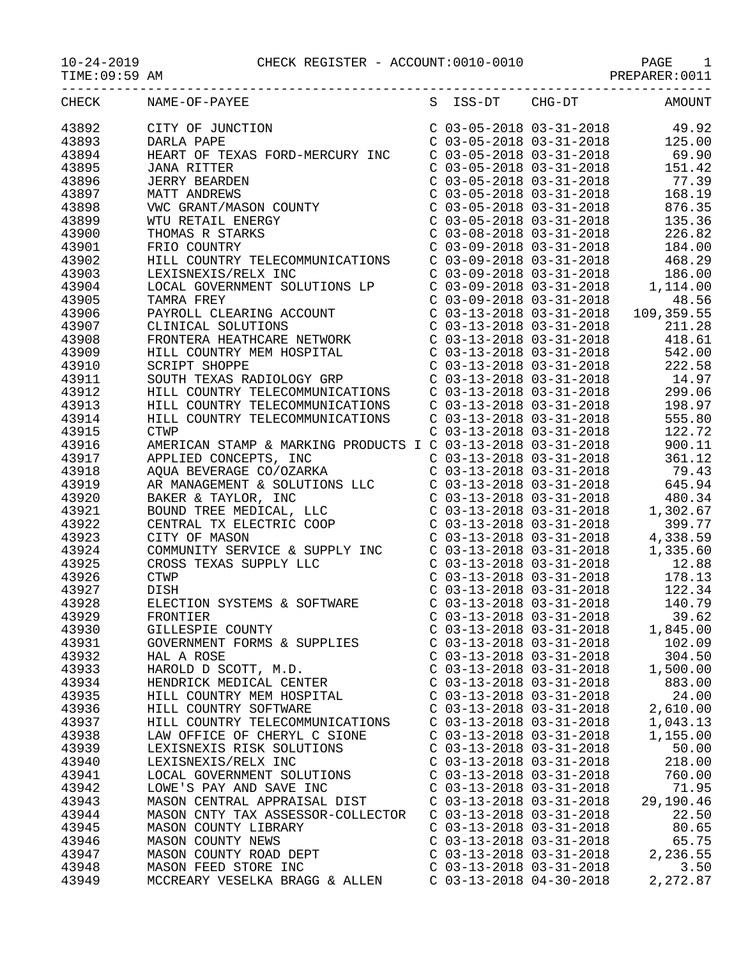10-24-2019 CHECK REGISTER - ACCOUNT:0010-0010 PAGE 1

| $10 - 24 - 2019$ |
|------------------|
|------------------|

-----------------------------------------------------------------------------------

| TIME:09:59 | AM |  |  |  | . • חהתיי<br>. н. н | .001 |
|------------|----|--|--|--|---------------------|------|
| ____       |    |  |  |  |                     |      |

| <b>CHECK</b> | NAME-OF-PAYEE                                                                                                                                                                     | S | ISS-DT                    | CHG-DT                                                                        | AMOUNT           |
|--------------|-----------------------------------------------------------------------------------------------------------------------------------------------------------------------------------|---|---------------------------|-------------------------------------------------------------------------------|------------------|
| 43892        | CITY OF JUNCTION                                                                                                                                                                  |   |                           | $C$ 03-05-2018 03-31-2018                                                     | 49.92            |
| 43893        | DARLA PAPE                                                                                                                                                                        |   |                           | $C$ 03-05-2018 03-31-2018                                                     | 125.00           |
| 43894        | HEART OF TEXAS FORD-MERCURY INC                                                                                                                                                   |   |                           | $C$ 03-05-2018 03-31-2018                                                     | 69.90            |
| 43895        | <b>JANA RITTER</b>                                                                                                                                                                |   |                           | $C$ 03-05-2018 03-31-2018                                                     | 151.42           |
| 43896        |                                                                                                                                                                                   |   |                           | $C$ 03-05-2018 03-31-2018                                                     | 77.39            |
| 43897        |                                                                                                                                                                                   |   |                           | $C$ 03-05-2018 03-31-2018                                                     | 168.19           |
| 43898        |                                                                                                                                                                                   |   |                           | $C$ 03-05-2018 03-31-2018                                                     | 876.35           |
| 43899        |                                                                                                                                                                                   |   | $C$ 03-05-2018 03-31-2018 |                                                                               | 135.36           |
| 43900        |                                                                                                                                                                                   |   |                           | $C$ 03-08-2018 03-31-2018                                                     | 226.82           |
| 43901        |                                                                                                                                                                                   |   |                           | C 03-08-2018 03-31-2018<br>C 03-09-2018 03-31-2018                            | 184.00           |
| 43902        | UGNA KIITEK<br>JERRY BEARDEN<br>MATT ANDREWS<br>VWC GRANT/MASON COUNTY<br>WTU RETAIL ENERGY<br>THOMAS R STARKS<br>FRIO COUNTRY<br>HILL COUNTRY<br>HILL COUNTRY TELECOMMUNICATIONS |   |                           | $C$ 03-09-2018 03-31-2018                                                     | 468.29           |
| 43903        | LEXISNEXIS/RELX INC                                                                                                                                                               |   |                           | $C$ 03-09-2018 03-31-2018                                                     | 186.00           |
| 43904        | LOCAL GOVERNMENT SOLUTIONS LP                                                                                                                                                     |   |                           | $C$ 03-09-2018 03-31-2018                                                     | 1,114.00         |
| 43905        | TAMRA FREY                                                                                                                                                                        |   |                           |                                                                               | 48.56            |
| 43906        |                                                                                                                                                                                   |   |                           | C 03-09-2018 03-31-2018<br>C 03-13-2018 03-31-2018 109                        | 109,359.55       |
| 43907        | PAYROLL CLEARING ACCOUNT<br>CLINICAL SOLUTIONS                                                                                                                                    |   |                           | $C$ 03-13-2018 03-31-2018                                                     | 211.28           |
| 43908        | FRONTERA HEATHCARE NETWORK                                                                                                                                                        |   |                           | $C$ 03-13-2018 03-31-2018                                                     | 418.61           |
| 43909        | HILL COUNTRY MEM HOSPITAL                                                                                                                                                         |   |                           | $C$ 03-13-2018 03-31-2018                                                     | 542.00           |
| 43910        | <b>SCRIPT SHOPPE</b>                                                                                                                                                              |   |                           | $C$ 03-13-2018 03-31-2018                                                     | 222.58           |
| 43911        | SOUTH TEXAS RADIOLOGY GRP                                                                                                                                                         |   |                           | $C$ 03-13-2018 03-31-2018                                                     | 14.97            |
| 43912        | HILL COUNTRY TELECOMMUNICATIONS                                                                                                                                                   |   |                           | $C$ 03-13-2018 03-31-2018                                                     | 299.06           |
| 43913        | HILL COUNTRY TELECOMMUNICATIONS                                                                                                                                                   |   |                           | $C$ 03-13-2018 03-31-2018                                                     | 198.97           |
| 43914        | HILL COUNTRY TELECOMMUNICATIONS                                                                                                                                                   |   |                           | $C$ 03-13-2018 03-31-2018                                                     |                  |
|              |                                                                                                                                                                                   |   |                           |                                                                               | 555.80<br>122.72 |
| 43915        | <b>CTWP</b>                                                                                                                                                                       |   |                           | $C$ 03-13-2018 03-31-2018                                                     |                  |
| 43916        | AMERICAN STAMP & MARKING PRODUCTS I C 03-13-2018 03-31-2018                                                                                                                       |   |                           |                                                                               | 900.11           |
| 43917        |                                                                                                                                                                                   |   |                           | C 03-13-2018 03-31-2018<br>C 03-13-2018 03-31-2018                            | 361.12           |
| 43918        | APPLIED CONCEPTS, INC<br>AQUA BEVERAGE CO/OZARKA<br>AR MANAGEMENT & SOLUTIONS LLC<br>BAKER & TAYLOR, INC                                                                          |   |                           |                                                                               | 79.43            |
| 43919        |                                                                                                                                                                                   |   |                           | $C$ 03-13-2018 03-31-2018                                                     | 645.94           |
| 43920        |                                                                                                                                                                                   |   |                           | $C$ 03-13-2018 03-31-2018                                                     | 480.34           |
| 43921        | BOUND TREE MEDICAL, LLC                                                                                                                                                           |   | $C$ 03-13-2018 03-31-2018 |                                                                               | 1,302.67         |
| 43922        | CENTRAL TX ELECTRIC COOP                                                                                                                                                          |   |                           | $C$ 03-13-2018 03-31-2018                                                     | 399.77           |
| 43923        | CITY OF MASON                                                                                                                                                                     |   |                           | $C$ 03-13-2018 03-31-2018                                                     | 4,338.59         |
| 43924        | COMMUNITY SERVICE & SUPPLY INC                                                                                                                                                    |   |                           | $C$ 03-13-2018 03-31-2018                                                     | 1,335.60         |
| 43925        | CROSS TEXAS SUPPLY LLC                                                                                                                                                            |   |                           | $C$ 03-13-2018 03-31-2018                                                     | 12.88            |
| 43926        | <b>CTWP</b>                                                                                                                                                                       |   |                           | $C$ 03-13-2018 03-31-2018                                                     | 178.13           |
| 43927        | DISH                                                                                                                                                                              |   |                           |                                                                               | 122.34           |
| 43928        | ELECTION SYSTEMS & SOFTWARE<br>FRONTIER<br>GILLESPIE COUNTY                                                                                                                       |   |                           | C 03-13-2018 03-31-2018<br>C 03-13-2018 03-31-2018<br>C 03-13-2018 03-31-2018 | 140.79           |
| 43929        |                                                                                                                                                                                   |   |                           |                                                                               | 39.62            |
| 43930        |                                                                                                                                                                                   |   | $C$ 03-13-2018 03-31-2018 |                                                                               | 1,845.00         |
| 43931        | GOVERNMENT FORMS & SUPPLIES                                                                                                                                                       |   | $C$ 03-13-2018 03-31-2018 |                                                                               | 102.09           |
| 43932        | HAL A ROSE                                                                                                                                                                        |   | $C$ 03-13-2018 03-31-2018 |                                                                               | 304.50           |
| 43933        | HAROLD D SCOTT, M.D.                                                                                                                                                              |   | $C$ 03-13-2018 03-31-2018 |                                                                               | 1,500.00         |
| 43934        | HENDRICK MEDICAL CENTER                                                                                                                                                           |   | $C$ 03-13-2018 03-31-2018 |                                                                               | 883.00           |
| 43935        | HILL COUNTRY MEM HOSPITAL                                                                                                                                                         |   | $C$ 03-13-2018 03-31-2018 |                                                                               | 24.00            |
| 43936        | HILL COUNTRY SOFTWARE                                                                                                                                                             |   | $C$ 03-13-2018 03-31-2018 |                                                                               | 2,610.00         |
| 43937        | HILL COUNTRY TELECOMMUNICATIONS                                                                                                                                                   |   | $C$ 03-13-2018 03-31-2018 |                                                                               | 1,043.13         |
| 43938        | LAW OFFICE OF CHERYL C SIONE                                                                                                                                                      |   | C 03-13-2018 03-31-2018   |                                                                               | 1,155.00         |
| 43939        | LEXISNEXIS RISK SOLUTIONS                                                                                                                                                         |   | $C$ 03-13-2018 03-31-2018 |                                                                               | 50.00            |
| 43940        | LEXISNEXIS/RELX INC                                                                                                                                                               |   | $C$ 03-13-2018 03-31-2018 |                                                                               | 218.00           |
| 43941        | LOCAL GOVERNMENT SOLUTIONS                                                                                                                                                        |   | $C$ 03-13-2018 03-31-2018 |                                                                               | 760.00           |
| 43942        | LOWE'S PAY AND SAVE INC                                                                                                                                                           |   | $C$ 03-13-2018 03-31-2018 |                                                                               | 71.95            |
| 43943        | MASON CENTRAL APPRAISAL DIST                                                                                                                                                      |   | $C$ 03-13-2018 03-31-2018 |                                                                               | 29,190.46        |
| 43944        | MASON CNTY TAX ASSESSOR-COLLECTOR                                                                                                                                                 |   | $C$ 03-13-2018 03-31-2018 |                                                                               | 22.50            |
| 43945        | MASON COUNTY LIBRARY                                                                                                                                                              |   | $C$ 03-13-2018 03-31-2018 |                                                                               | 80.65            |
| 43946        | MASON COUNTY NEWS                                                                                                                                                                 |   | $C$ 03-13-2018 03-31-2018 |                                                                               | 65.75            |
| 43947        | MASON COUNTY ROAD DEPT                                                                                                                                                            |   | $C$ 03-13-2018 03-31-2018 |                                                                               | 2,236.55         |
| 43948        | MASON FEED STORE INC                                                                                                                                                              |   | $C$ 03-13-2018 03-31-2018 |                                                                               | 3.50             |
| 43949        | MCCREARY VESELKA BRAGG & ALLEN                                                                                                                                                    |   | $C$ 03-13-2018 04-30-2018 |                                                                               | 2,272.87         |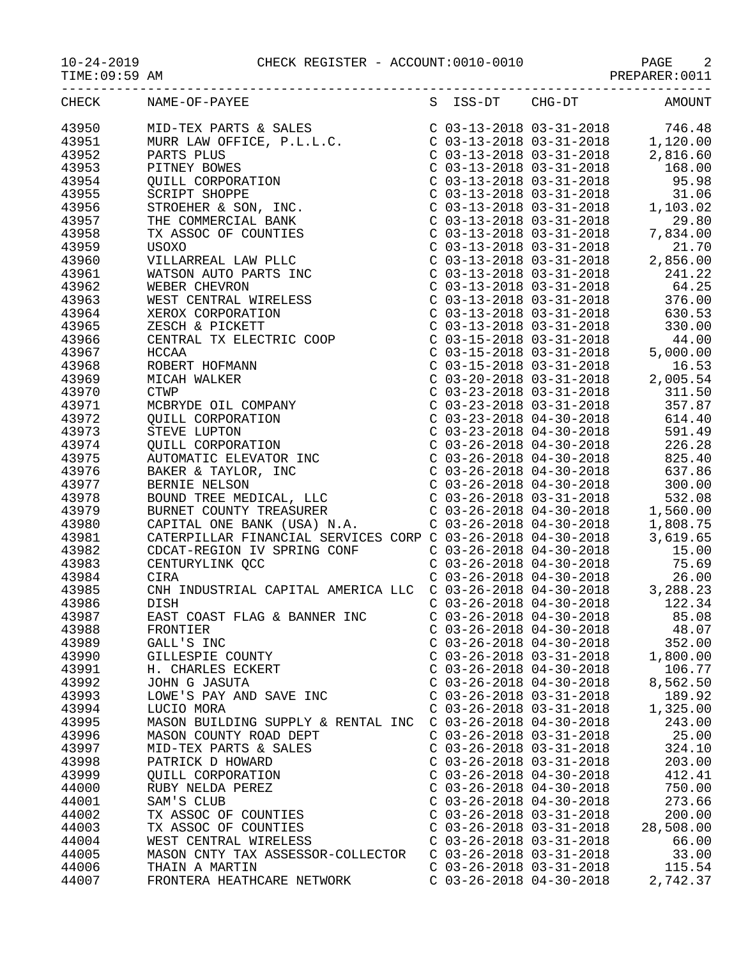10-24-2019<br>TIME:09:59 AM CHECK REGISTER - ACCOUNT:0010-0010

| CHECK | NAME-OF-PAYEE                      |                           |                           | S ISS-DT CHG-DT AMOUNT |
|-------|------------------------------------|---------------------------|---------------------------|------------------------|
|       |                                    |                           |                           |                        |
|       |                                    |                           |                           |                        |
|       |                                    |                           |                           |                        |
|       |                                    |                           |                           |                        |
|       |                                    |                           |                           |                        |
|       |                                    |                           |                           |                        |
|       |                                    |                           |                           |                        |
|       |                                    |                           |                           |                        |
|       |                                    |                           |                           |                        |
|       |                                    |                           |                           |                        |
|       |                                    |                           |                           |                        |
|       |                                    |                           |                           |                        |
|       |                                    |                           |                           |                        |
|       |                                    |                           |                           |                        |
|       |                                    |                           |                           |                        |
|       |                                    |                           |                           |                        |
|       |                                    |                           |                           |                        |
|       |                                    |                           |                           |                        |
|       |                                    |                           |                           |                        |
|       |                                    |                           |                           |                        |
|       |                                    |                           |                           |                        |
|       |                                    |                           |                           |                        |
|       |                                    |                           |                           |                        |
|       |                                    |                           |                           |                        |
|       |                                    |                           |                           |                        |
|       |                                    |                           |                           |                        |
|       |                                    |                           |                           |                        |
|       |                                    |                           |                           |                        |
|       |                                    |                           |                           |                        |
|       |                                    |                           |                           |                        |
|       |                                    |                           |                           |                        |
|       |                                    |                           |                           |                        |
|       |                                    |                           |                           |                        |
|       |                                    |                           |                           |                        |
|       |                                    |                           |                           |                        |
|       |                                    |                           |                           |                        |
|       |                                    |                           |                           |                        |
|       |                                    |                           |                           |                        |
|       |                                    |                           |                           |                        |
|       |                                    |                           |                           |                        |
|       |                                    |                           |                           |                        |
| 43988 |                                    |                           | $C$ 03-26-2018 04-30-2018 | 48.07                  |
| 43989 | FRONTIER<br>GALL'S INC             | $C$ 03-26-2018 04-30-2018 |                           |                        |
|       |                                    |                           |                           | 352.00                 |
| 43990 | GILLESPIE COUNTY                   | $C$ 03-26-2018 03-31-2018 |                           | 1,800.00               |
| 43991 | H. CHARLES ECKERT                  | $C$ 03-26-2018 04-30-2018 |                           | 106.77                 |
| 43992 | JOHN G JASUTA                      | $C$ 03-26-2018 04-30-2018 |                           | 8,562.50               |
| 43993 | LOWE'S PAY AND SAVE INC            | $C$ 03-26-2018 03-31-2018 |                           | 189.92                 |
| 43994 | LUCIO MORA                         | $C$ 03-26-2018 03-31-2018 |                           | 1,325.00               |
| 43995 | MASON BUILDING SUPPLY & RENTAL INC | $C$ 03-26-2018 04-30-2018 |                           | 243.00                 |
| 43996 | MASON COUNTY ROAD DEPT             | $C$ 03-26-2018 03-31-2018 |                           | 25.00                  |
| 43997 | MID-TEX PARTS & SALES              | $C$ 03-26-2018 03-31-2018 |                           | 324.10                 |
| 43998 | PATRICK D HOWARD                   | $C$ 03-26-2018 03-31-2018 |                           | 203.00                 |
| 43999 | QUILL CORPORATION                  | $C$ 03-26-2018 04-30-2018 |                           | 412.41                 |
| 44000 | RUBY NELDA PEREZ                   | $C$ 03-26-2018 04-30-2018 |                           | 750.00                 |
| 44001 | SAM'S CLUB                         | $C$ 03-26-2018 04-30-2018 |                           | 273.66                 |
| 44002 | TX ASSOC OF COUNTIES               | $C$ 03-26-2018 03-31-2018 |                           | 200.00                 |
|       |                                    |                           |                           |                        |
| 44003 | TX ASSOC OF COUNTIES               | $C$ 03-26-2018 03-31-2018 |                           | 28,508.00              |
| 44004 | WEST CENTRAL WIRELESS              | $C$ 03-26-2018 03-31-2018 |                           | 66.00                  |
| 44005 | MASON CNTY TAX ASSESSOR-COLLECTOR  | $C$ 03-26-2018 03-31-2018 |                           | 33.00                  |
| 44006 | THAIN A MARTIN                     | $C$ 03-26-2018 03-31-2018 |                           | 115.54                 |

44007 FRONTERA HEATHCARE NETWORK C 03-26-2018 04-30-2018 2,742.37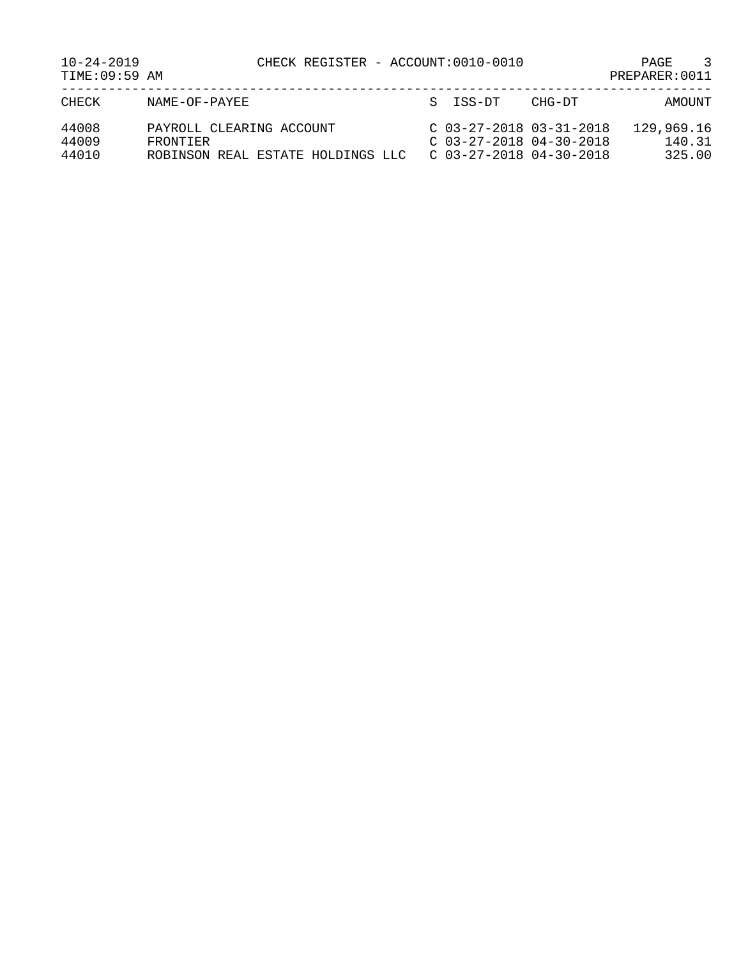| $10 - 24 - 2019$<br>TIME: 09:59 AM | CHECK REGISTER - ACCOUNT:0010-0010                                        |                                                                                     | $\mathcal{R}$<br><b>PAGE</b><br>PREPARER: 0011 |
|------------------------------------|---------------------------------------------------------------------------|-------------------------------------------------------------------------------------|------------------------------------------------|
| CHECK                              | NAME-OF-PAYEE                                                             | S ISS-DT                                                                            | CHG-DT<br>AMOUNT                               |
| 44008<br>44009<br>44010            | PAYROLL CLEARING ACCOUNT<br>FRONTIFR<br>ROBINSON REAL ESTATE HOLDINGS LLC | $C$ 03-27-2018 03-31-2018<br>$C$ 03-27-2018 04-30-2018<br>$C$ 03-27-2018 04-30-2018 | 129,969.16<br>140.31<br>325.00                 |